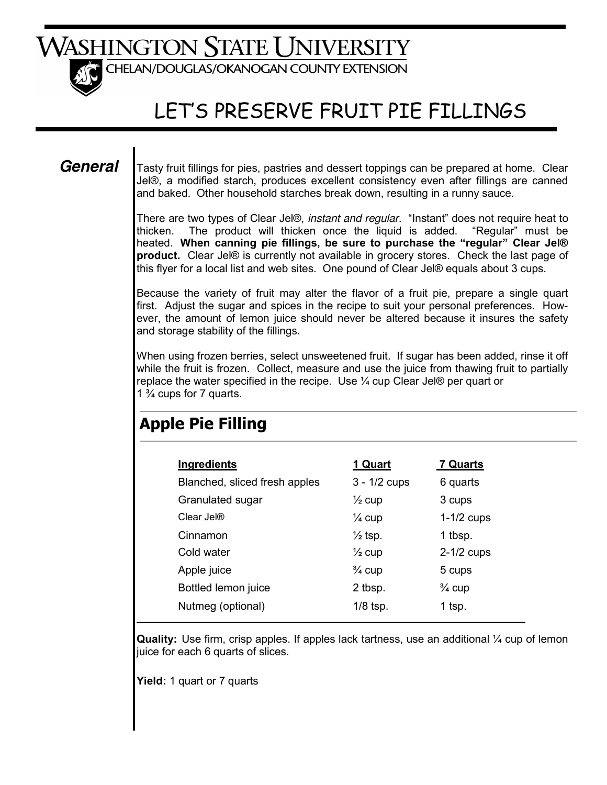# WASHINGTON STATE UNIVERSITY



CHELAN/DOUGLAS/OKANOGAN COUNTY EXTENSION

# LET'S PRESERVE FRUIT PIE FILLINGS

### *General*

Tasty fruit fillings for pies, pastries and dessert toppings can be prepared at home. Clear Jel®, a modified starch, produces excellent consistency even after fillings are canned and baked. Other household starches break down, resulting in a runny sauce.

There are two types of Clear Jel®, *instant and regular*. "Instant" does not require heat to thicken. The product will thicken once the liquid is added. "Regular" must be heated. **When canning pie fillings, be sure to purchase the "regular" Clear Jel® product.** Clear Jel® is currently not available in grocery stores. Check the last page of this flyer for a local list and web sites. One pound of Clear Jel® equals about 3 cups.

Because the variety of fruit may alter the flavor of a fruit pie, prepare a single quart first. Adjust the sugar and spices in the recipe to suit your personal preferences. However, the amount of lemon juice should never be altered because it insures the safety and storage stability of the fillings.

When using frozen berries, select unsweetened fruit. If sugar has been added, rinse it off while the fruit is frozen. Collect, measure and use the juice from thawing fruit to partially replace the water specified in the recipe. Use ¼ cup Clear Jel® per quart or 1 ¾ cups for 7 quarts.

| Ingredients                   | 1 Quart            | 7 Quarts          |
|-------------------------------|--------------------|-------------------|
| Blanched, sliced fresh apples | $3 - 1/2$ cups     | 6 quarts          |
| Granulated sugar              | $\frac{1}{2}$ cup  | 3 cups            |
| Clear Jel®                    | $\frac{1}{4}$ cup  | $1-1/2$ cups      |
| Cinnamon                      | $\frac{1}{2}$ tsp. | 1 tbsp.           |
| Cold water                    | $\frac{1}{2}$ cup  | $2-1/2$ cups      |
| Apple juice                   | $\frac{3}{4}$ cup  | 5 cups            |
| Bottled lemon juice           | 2 tbsp.            | $\frac{3}{4}$ cup |
| Nutmeg (optional)             | $1/8$ tsp.         | 1 tsp.            |
|                               |                    |                   |

## **Apple Pie Filling**

**Quality:** Use firm, crisp apples. If apples lack tartness, use an additional ¼ cup of lemon juice for each 6 quarts of slices.

**Yield:** 1 quart or 7 quarts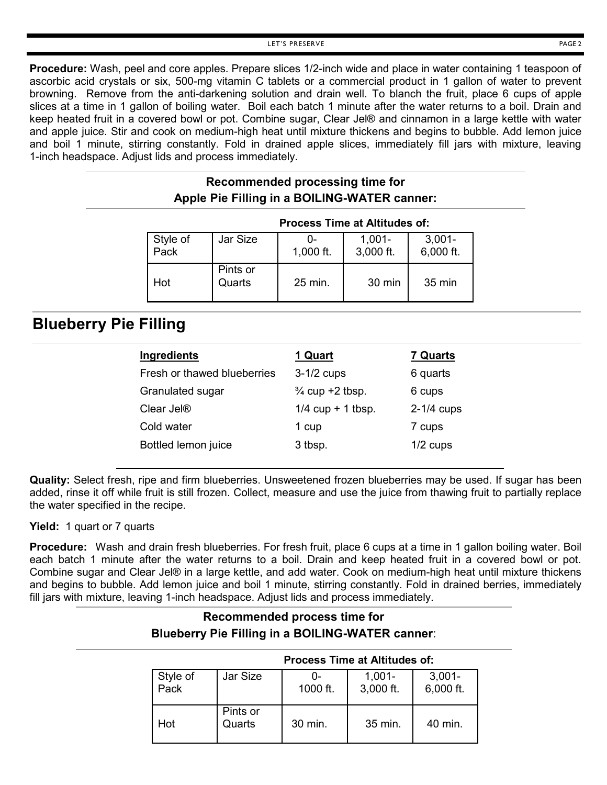**Procedure:** Wash, peel and core apples. Prepare slices 1/2-inch wide and place in water containing 1 teaspoon of ascorbic acid crystals or six, 500-mg vitamin C tablets or a commercial product in 1 gallon of water to prevent browning. Remove from the anti-darkening solution and drain well. To blanch the fruit, place 6 cups of apple slices at a time in 1 gallon of boiling water. Boil each batch 1 minute after the water returns to a boil. Drain and keep heated fruit in a covered bowl or pot. Combine sugar, Clear Jel® and cinnamon in a large kettle with water and apple juice. Stir and cook on medium-high heat until mixture thickens and begins to bubble. Add lemon juice and boil 1 minute, stirring constantly. Fold in drained apple slices, immediately fill jars with mixture, leaving 1-inch headspace. Adjust lids and process immediately.

### **Recommended processing time for Apple Pie Filling in a BOILING-WATER canner:**

|                  |                    | <b>Process Time at Altitudes of:</b> |                        |                        |
|------------------|--------------------|--------------------------------------|------------------------|------------------------|
| Style of<br>Pack | Jar Size           | 1,000 ft.                            | $1,001 -$<br>3,000 ft. | $3,001 -$<br>6,000 ft. |
| Hot              | Pints or<br>Quarts | 25 min.                              | 30 min                 | 35 min                 |

### **Blueberry Pie Filling**

| Ingredients                 | 1 Quart                    | <b>7 Quarts</b> |
|-----------------------------|----------------------------|-----------------|
| Fresh or thawed blueberries | $3-1/2$ cups               | 6 quarts        |
| Granulated sugar            | $\frac{3}{4}$ cup +2 tbsp. | 6 cups          |
| Clear Jel <sup>®</sup>      | $1/4$ cup + 1 tbsp.        | $2-1/4$ cups    |
| Cold water                  | 1 cup                      | 7 cups          |
| Bottled lemon juice         | 3 tbsp.                    | $1/2$ cups      |

**Quality:** Select fresh, ripe and firm blueberries. Unsweetened frozen blueberries may be used. If sugar has been added, rinse it off while fruit is still frozen. Collect, measure and use the juice from thawing fruit to partially replace the water specified in the recipe.

**Yield:** 1 quart or 7 quarts

**Procedure:** Wash and drain fresh blueberries. For fresh fruit, place 6 cups at a time in 1 gallon boiling water. Boil each batch 1 minute after the water returns to a boil. Drain and keep heated fruit in a covered bowl or pot. Combine sugar and Clear Jel® in a large kettle, and add water. Cook on medium-high heat until mixture thickens and begins to bubble. Add lemon juice and boil 1 minute, stirring constantly. Fold in drained berries, immediately fill jars with mixture, leaving 1-inch headspace. Adjust lids and process immediately.

### **Recommended process time for Blueberry Pie Filling in a BOILING-WATER canner**:

|                  |                    | Process Time at Altitudes of: |                        |                        |
|------------------|--------------------|-------------------------------|------------------------|------------------------|
| Style of<br>Pack | Jar Size           | 0-<br>1000 ft.                | $1,001 -$<br>3,000 ft. | $3,001 -$<br>6,000 ft. |
| Hot              | Pints or<br>Quarts | 30 min.                       | 35 min.                | 40 min.                |

### **Process Time at Altitudes of:**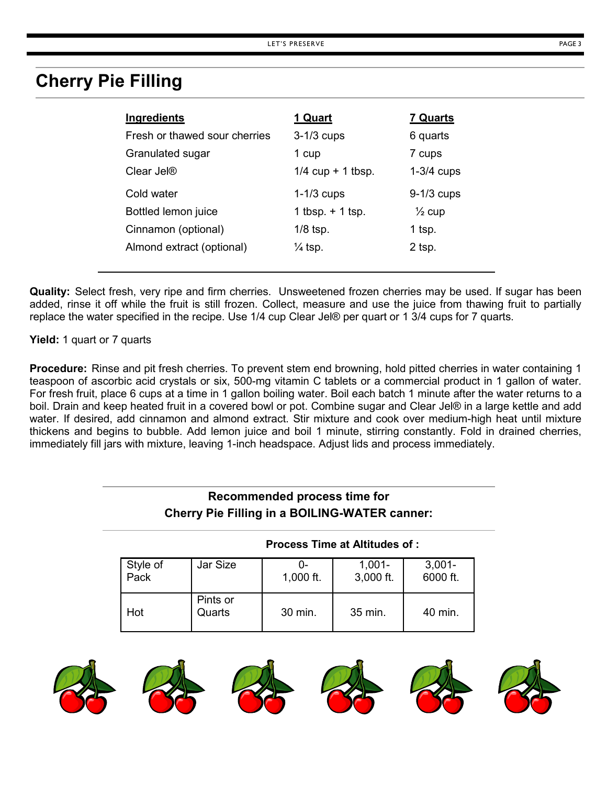## **Cherry Pie Filling**

| Ingredients                   | 1 Quart             | <b>7 Quarts</b>   |
|-------------------------------|---------------------|-------------------|
| Fresh or thawed sour cherries | $3-1/3$ cups        | 6 quarts          |
| Granulated sugar              | 1 cup               | 7 cups            |
| Clear Jel <sup>®</sup>        | $1/4$ cup + 1 tbsp. | $1-3/4$ cups      |
| Cold water                    | $1-1/3$ cups        | $9-1/3$ cups      |
| Bottled lemon juice           | 1 tbsp. $+$ 1 tsp.  | $\frac{1}{2}$ cup |
| Cinnamon (optional)           | $1/8$ tsp.          | 1 tsp.            |
| Almond extract (optional)     | $\frac{1}{4}$ tsp.  | 2 tsp.            |

**Quality:** Select fresh, very ripe and firm cherries. Unsweetened frozen cherries may be used. If sugar has been added, rinse it off while the fruit is still frozen. Collect, measure and use the juice from thawing fruit to partially replace the water specified in the recipe. Use 1/4 cup Clear Jel® per quart or 1 3/4 cups for 7 quarts.

**Yield:** 1 quart or 7 quarts

**Procedure:** Rinse and pit fresh cherries. To prevent stem end browning, hold pitted cherries in water containing 1 teaspoon of ascorbic acid crystals or six, 500-mg vitamin C tablets or a commercial product in 1 gallon of water. For fresh fruit, place 6 cups at a time in 1 gallon boiling water. Boil each batch 1 minute after the water returns to a boil. Drain and keep heated fruit in a covered bowl or pot. Combine sugar and Clear Jel® in a large kettle and add water. If desired, add cinnamon and almond extract. Stir mixture and cook over medium-high heat until mixture thickens and begins to bubble. Add lemon juice and boil 1 minute, stirring constantly. Fold in drained cherries, immediately fill jars with mixture, leaving 1-inch headspace. Adjust lids and process immediately.

### **Recommended process time for Cherry Pie Filling in a BOILING-WATER canner:**

**Process Time at Altitudes of :** 

|                  |                    |                   | FIULESS TIME ALAMINUTS UP. |                       |
|------------------|--------------------|-------------------|----------------------------|-----------------------|
| Style of<br>Pack | Jar Size           | 0-<br>$1,000$ ft. | $1,001 -$<br>3,000 ft.     | $3,001 -$<br>6000 ft. |
| Hot              | Pints or<br>Quarts | 30 min.           | 35 min.                    | 40 min.               |

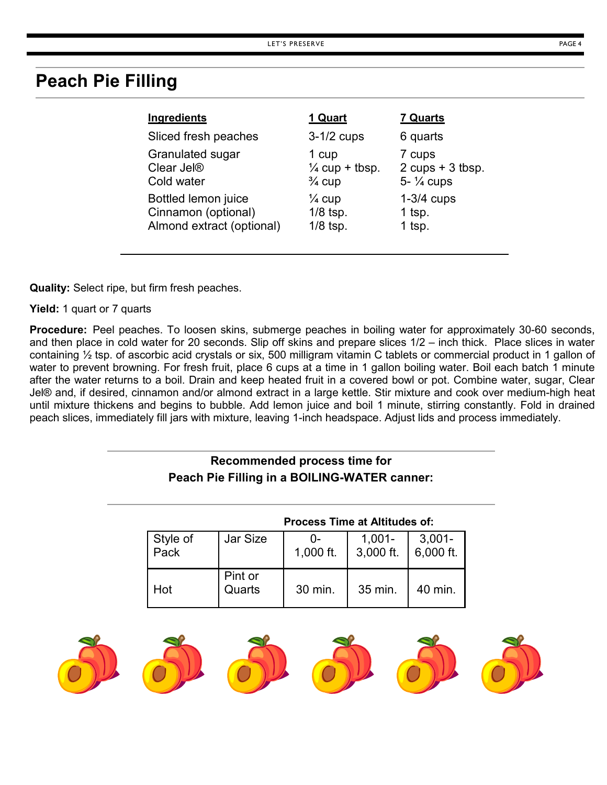### **Peach Pie Filling**

| Ingredients               | 1 Quart                   | <b>7 Quarts</b>        |
|---------------------------|---------------------------|------------------------|
| Sliced fresh peaches      | $3-1/2$ cups              | 6 quarts               |
| Granulated sugar          | 1 cup                     | 7 cups                 |
| Clear Jel <sup>®</sup>    | $\frac{1}{4}$ cup + tbsp. | $2$ cups + 3 tbsp.     |
| Cold water                | $\frac{3}{4}$ cup         | $5 - \frac{1}{4}$ cups |
| Bottled lemon juice       | $\frac{1}{4}$ cup         | $1-3/4$ cups           |
| Cinnamon (optional)       | $1/8$ tsp.                | 1 tsp.                 |
| Almond extract (optional) | $1/8$ tsp.                | 1 tsp.                 |

**Quality:** Select ripe, but firm fresh peaches.

**Yield:** 1 quart or 7 quarts

**Procedure:** Peel peaches. To loosen skins, submerge peaches in boiling water for approximately 30-60 seconds, and then place in cold water for 20 seconds. Slip off skins and prepare slices 1/2 – inch thick. Place slices in water containing ½ tsp. of ascorbic acid crystals or six, 500 milligram vitamin C tablets or commercial product in 1 gallon of water to prevent browning. For fresh fruit, place 6 cups at a time in 1 gallon boiling water. Boil each batch 1 minute after the water returns to a boil. Drain and keep heated fruit in a covered bowl or pot. Combine water, sugar, Clear Jel® and, if desired, cinnamon and/or almond extract in a large kettle. Stir mixture and cook over medium-high heat until mixture thickens and begins to bubble. Add lemon juice and boil 1 minute, stirring constantly. Fold in drained peach slices, immediately fill jars with mixture, leaving 1-inch headspace. Adjust lids and process immediately.

### **Recommended process time for Peach Pie Filling in a BOILING-WATER canner:**

|                  |                   | <b>Process Time at Altitudes of:</b> |                        |                        |
|------------------|-------------------|--------------------------------------|------------------------|------------------------|
| Style of<br>Pack | Jar Size          | 1,000 ft.                            | $1,001 -$<br>3,000 ft. | $3,001 -$<br>6,000 ft. |
| Hot              | Pint or<br>Quarts | 30 min.                              | 35 min.                | 40 min.                |